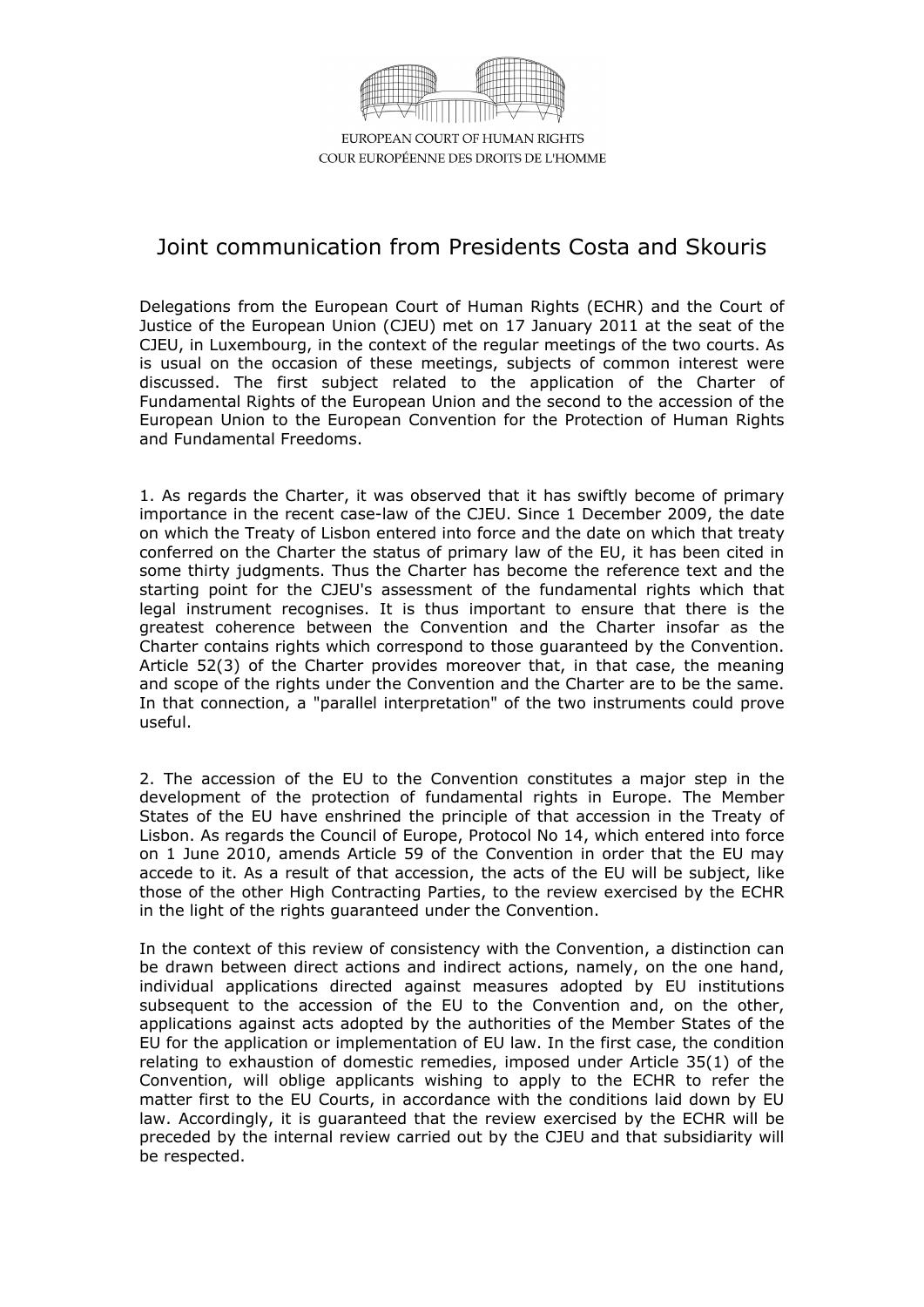

EUROPEAN COURT OF HUMAN RIGHTS COUR EUROPÉENNE DES DROITS DE L'HOMME

## Joint communication from Presidents Costa and Skouris

Delegations from the European Court of Human Rights (ECHR) and the Court of Justice of the European Union (CJEU) met on 17 January 2011 at the seat of the CJEU, in Luxembourg, in the context of the regular meetings of the two courts. As is usual on the occasion of these meetings, subjects of common interest were discussed. The first subject related to the application of the Charter of Fundamental Rights of the European Union and the second to the accession of the European Union to the European Convention for the Protection of Human Rights and Fundamental Freedoms.

1. As regards the Charter, it was observed that it has swiftly become of primary importance in the recent case-law of the CJEU. Since 1 December 2009, the date on which the Treaty of Lisbon entered into force and the date on which that treaty conferred on the Charter the status of primary law of the EU, it has been cited in some thirty judgments. Thus the Charter has become the reference text and the starting point for the CJEU's assessment of the fundamental rights which that legal instrument recognises. It is thus important to ensure that there is the greatest coherence between the Convention and the Charter insofar as the Charter contains rights which correspond to those guaranteed by the Convention. Article 52(3) of the Charter provides moreover that, in that case, the meaning and scope of the rights under the Convention and the Charter are to be the same. In that connection, a "parallel interpretation" of the two instruments could prove useful.

2. The accession of the EU to the Convention constitutes a major step in the development of the protection of fundamental rights in Europe. The Member States of the EU have enshrined the principle of that accession in the Treaty of Lisbon. As regards the Council of Europe, Protocol No 14, which entered into force on 1 June 2010, amends Article 59 of the Convention in order that the EU may accede to it. As a result of that accession, the acts of the EU will be subject, like those of the other High Contracting Parties, to the review exercised by the ECHR in the light of the rights guaranteed under the Convention.

In the context of this review of consistency with the Convention, a distinction can be drawn between direct actions and indirect actions, namely, on the one hand, individual applications directed against measures adopted by EU institutions subsequent to the accession of the EU to the Convention and, on the other, applications against acts adopted by the authorities of the Member States of the EU for the application or implementation of EU law. In the first case, the condition relating to exhaustion of domestic remedies, imposed under Article 35(1) of the Convention, will oblige applicants wishing to apply to the ECHR to refer the matter first to the EU Courts, in accordance with the conditions laid down by EU law. Accordingly, it is guaranteed that the review exercised by the ECHR will be preceded by the internal review carried out by the CJEU and that subsidiarity will be respected.